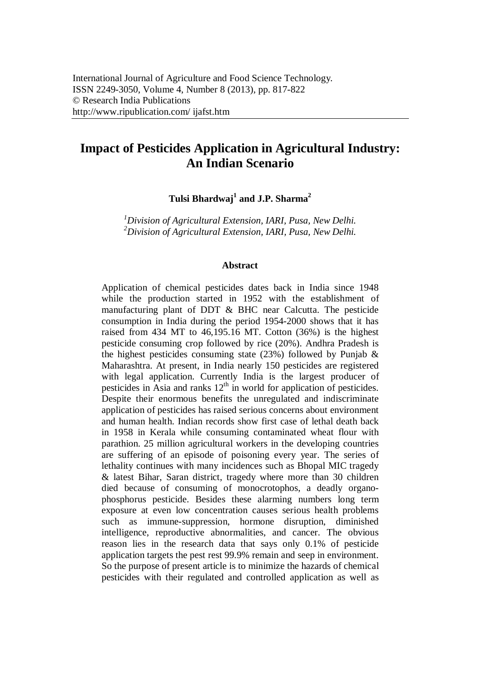# **Impact of Pesticides Application in Agricultural Industry: An Indian Scenario**

**Tulsi Bhardwaj<sup>1</sup> and J.P. Sharma<sup>2</sup>**

*<sup>1</sup>Division of Agricultural Extension, IARI, Pusa, New Delhi. <sup>2</sup>Division of Agricultural Extension, IARI, Pusa, New Delhi.*

#### **Abstract**

Application of chemical pesticides dates back in India since 1948 while the production started in 1952 with the establishment of manufacturing plant of DDT & BHC near Calcutta. The pesticide consumption in India during the period 1954-2000 shows that it has raised from 434 MT to 46,195.16 MT. Cotton (36%) is the highest pesticide consuming crop followed by rice (20%). Andhra Pradesh is the highest pesticides consuming state (23%) followed by Punjab  $\&$ Maharashtra. At present, in India nearly 150 pesticides are registered with legal application. Currently India is the largest producer of pesticides in Asia and ranks  $12<sup>th</sup>$  in world for application of pesticides. Despite their enormous benefits the unregulated and indiscriminate application of pesticides has raised serious concerns about environment and human health. Indian records show first case of lethal death back in 1958 in Kerala while consuming contaminated wheat flour with parathion. 25 million agricultural workers in the developing countries are suffering of an episode of poisoning every year. The series of lethality continues with many incidences such as Bhopal MIC tragedy & latest Bihar, Saran district, tragedy where more than 30 children died because of consuming of monocrotophos, a deadly organophosphorus pesticide. Besides these alarming numbers long term exposure at even low concentration causes serious health problems such as immune-suppression, hormone disruption, diminished intelligence, reproductive abnormalities, and cancer. The obvious reason lies in the research data that says only 0.1% of pesticide application targets the pest rest 99.9% remain and seep in environment. So the purpose of present article is to minimize the hazards of chemical pesticides with their regulated and controlled application as well as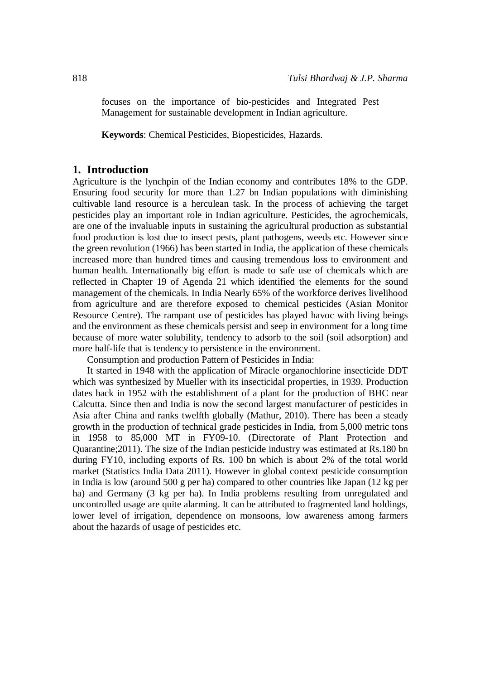focuses on the importance of bio-pesticides and Integrated Pest Management for sustainable development in Indian agriculture.

**Keywords**: Chemical Pesticides, Biopesticides, Hazards.

## **1. Introduction**

Agriculture is the lynchpin of the Indian economy and contributes 18% to the GDP. Ensuring food security for more than 1.27 bn Indian populations with diminishing cultivable land resource is a herculean task. In the process of achieving the target pesticides play an important role in Indian agriculture. Pesticides, the agrochemicals, are one of the invaluable inputs in sustaining the agricultural production as substantial food production is lost due to insect pests, plant pathogens, weeds etc. However since the green revolution (1966) has been started in India, the application of these chemicals increased more than hundred times and causing tremendous loss to environment and human health. Internationally big effort is made to safe use of chemicals which are reflected in Chapter 19 of Agenda 21 which identified the elements for the sound management of the chemicals. In India Nearly 65% of the workforce derives livelihood from agriculture and are therefore exposed to chemical pesticides (Asian Monitor Resource Centre). The rampant use of pesticides has played havoc with living beings and the environment as these chemicals persist and seep in environment for a long time because of more water solubility, tendency to adsorb to the soil (soil adsorption) and more half-life that is tendency to persistence in the environment.

Consumption and production Pattern of Pesticides in India:

It started in 1948 with the application of Miracle organochlorine insecticide DDT which was synthesized by Mueller with its insecticidal properties, in 1939. Production dates back in 1952 with the establishment of a plant for the production of BHC near Calcutta. Since then and India is now the second largest manufacturer of pesticides in Asia after China and ranks twelfth globally (Mathur, 2010). There has been a steady growth in the production of technical grade pesticides in India, from 5,000 metric tons in 1958 to 85,000 MT in FY09-10. (Directorate of Plant Protection and Quarantine;2011). The size of the Indian pesticide industry was estimated at Rs.180 bn during FY10, including exports of Rs. 100 bn which is about 2% of the total world market (Statistics India Data 2011). However in global context pesticide consumption in India is low (around 500 g per ha) compared to other countries like Japan (12 kg per ha) and Germany (3 kg per ha). In India problems resulting from unregulated and uncontrolled usage are quite alarming. It can be attributed to fragmented land holdings, lower level of irrigation, dependence on monsoons, low awareness among farmers about the hazards of usage of pesticides etc.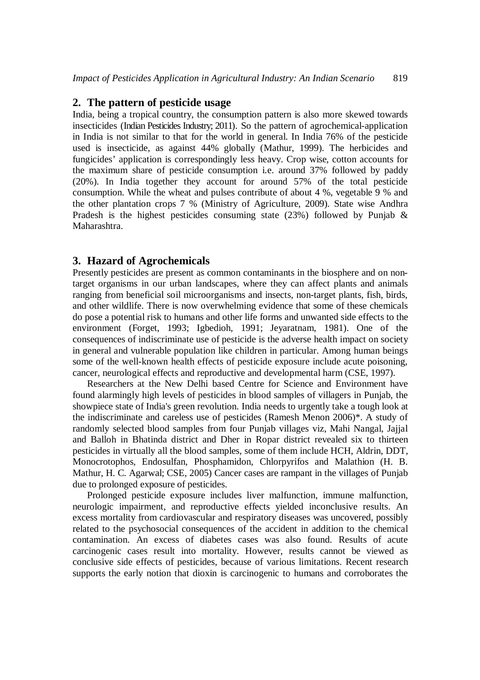## **2. The pattern of pesticide usage**

India, being a tropical country, the consumption pattern is also more skewed towards insecticides (Indian Pesticides Industry; 2011). So the pattern of agrochemical-application in India is not similar to that for the world in general. In India 76% of the pesticide used is insecticide, as against 44% globally (Mathur, 1999). The herbicides and fungicides' application is correspondingly less heavy. Crop wise, cotton accounts for the maximum share of pesticide consumption i.e. around 37% followed by paddy (20%). In India together they account for around 57% of the total pesticide consumption. While the wheat and pulses contribute of about 4 %, vegetable 9 % and the other plantation crops 7 % (Ministry of Agriculture, 2009). State wise Andhra Pradesh is the highest pesticides consuming state  $(23%)$  followed by Punjab & Maharashtra.

## **3. Hazard of Agrochemicals**

Presently pesticides are present as common contaminants in the biosphere and on nontarget organisms in our urban landscapes, where they can affect plants and animals ranging from beneficial soil microorganisms and insects, non-target plants, fish, birds, and other wildlife. There is now overwhelming evidence that some of these chemicals do pose a potential risk to humans and other life forms and unwanted side effects to the environment (Forget, 1993; Igbedioh, 1991; Jeyaratnam, 1981). One of the consequences of indiscriminate use of pesticide is the adverse health impact on society in general and vulnerable population like children in particular. Among human beings some of the well-known health effects of pesticide exposure include acute poisoning, cancer, neurological effects and reproductive and developmental harm (CSE, 1997).

Researchers at the New Delhi based Centre for Science and Environment have found alarmingly high levels of pesticides in blood samples of villagers in Punjab, the showpiece state of India's green revolution. India needs to urgently take a tough look at the indiscriminate and careless use of pesticides (Ramesh Menon 2006)\*. A study of randomly selected blood samples from four Punjab villages viz, Mahi Nangal, Jajjal and Balloh in Bhatinda district and Dher in Ropar district revealed six to thirteen pesticides in virtually all the blood samples, some of them include HCH, Aldrin, DDT, Monocrotophos, Endosulfan, Phosphamidon, Chlorpyrifos and Malathion (H. B. Mathur, H. C. Agarwal; CSE, 2005) Cancer cases are rampant in the villages of Punjab due to prolonged exposure of pesticides.

Prolonged pesticide exposure includes liver malfunction, immune malfunction, neurologic impairment, and reproductive effects yielded inconclusive results. An excess mortality from cardiovascular and respiratory diseases was uncovered, possibly related to the psychosocial consequences of the accident in addition to the chemical contamination. An excess of diabetes cases was also found. Results of acute carcinogenic cases result into mortality. However, results cannot be viewed as conclusive side effects of pesticides, because of various limitations. Recent research supports the early notion that dioxin is carcinogenic to humans and corroborates the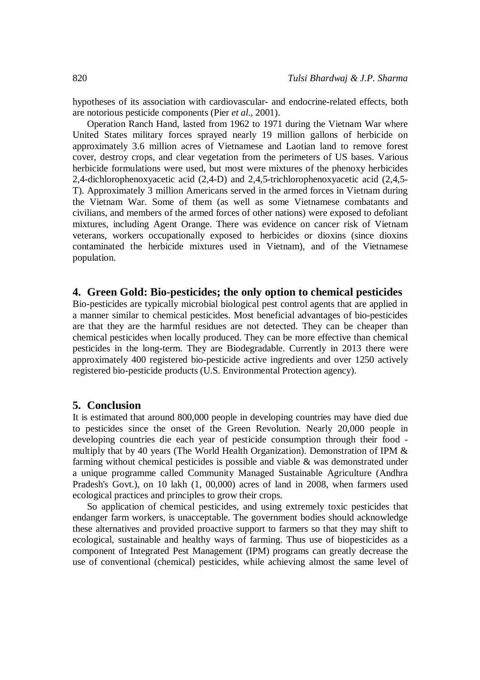hypotheses of its association with cardiovascular- and endocrine-related effects, both are notorious pesticide components (Pier *et al*., 2001).

Operation Ranch Hand, lasted from 1962 to 1971 during the Vietnam War where United States military forces sprayed nearly 19 million gallons of herbicide on approximately 3.6 million acres of Vietnamese and Laotian land to remove forest cover, destroy crops, and clear vegetation from the perimeters of US bases. Various herbicide formulations were used, but most were mixtures of the phenoxy herbicides 2,4-dichlorophenoxyacetic acid (2,4-D) and 2,4,5-trichlorophenoxyacetic acid (2,4,5- T). Approximately 3 million Americans served in the armed forces in Vietnam during the Vietnam War. Some of them (as well as some Vietnamese combatants and civilians, and members of the armed forces of other nations) were exposed to defoliant mixtures, including Agent Orange. There was evidence on cancer risk of Vietnam veterans, workers occupationally exposed to herbicides or dioxins (since dioxins contaminated the herbicide mixtures used in Vietnam), and of the Vietnamese population.

### **4. Green Gold: Bio-pesticides; the only option to chemical pesticides**

Bio-pesticides are typically microbial biological pest control agents that are applied in a manner similar to chemical pesticides. Most beneficial advantages of bio-pesticides are that they are the harmful residues are not detected. They can be cheaper than chemical pesticides when locally produced. They can be more effective than chemical pesticides in the long-term. They are Biodegradable. Currently in 2013 there were approximately 400 registered bio-pesticide active ingredients and over 1250 actively registered bio-pesticide products (U.S. Environmental Protection agency).

#### **5. Conclusion**

It is estimated that around 800,000 people in developing countries may have died due to pesticides since the onset of the Green Revolution. Nearly 20,000 people in developing countries die each year of pesticide consumption through their food multiply that by 40 years (The World Health Organization). Demonstration of IPM & farming without chemical pesticides is possible and viable & was demonstrated under a unique programme called Community Managed Sustainable Agriculture (Andhra Pradesh's Govt.), on 10 lakh (1, 00,000) acres of land in 2008, when farmers used ecological practices and principles to grow their crops.

So application of chemical pesticides, and using extremely toxic pesticides that endanger farm workers, is unacceptable. The government bodies should acknowledge these alternatives and provided proactive support to farmers so that they may shift to ecological, sustainable and healthy ways of farming. Thus use of biopesticides as a component of Integrated Pest Management (IPM) programs can greatly decrease the use of conventional (chemical) pesticides, while achieving almost the same level of